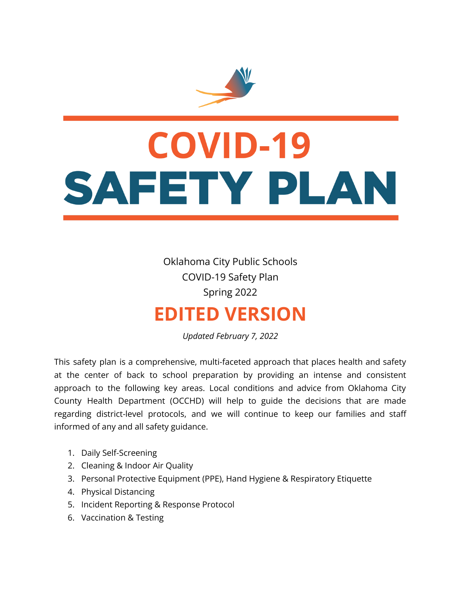

# **COVID-19** SAFETY PLAN

Oklahoma City Public Schools COVID-19 Safety Plan Spring 2022

# **EDITED VERSION**

*Updated February 7, 2022*

This safety plan is a comprehensive, multi-faceted approach that places health and safety at the center of back to school preparation by providing an intense and consistent approach to the following key areas. Local conditions and advice from Oklahoma City County Health Department (OCCHD) will help to guide the decisions that are made regarding district-level protocols, and we will continue to keep our families and staff informed of any and all safety guidance.

- 1. Daily Self-Screening
- 2. Cleaning & Indoor Air Quality
- 3. Personal Protective Equipment (PPE), Hand Hygiene & Respiratory Etiquette
- 4. Physical Distancing
- 5. Incident Reporting & Response Protocol
- 6. Vaccination & Testing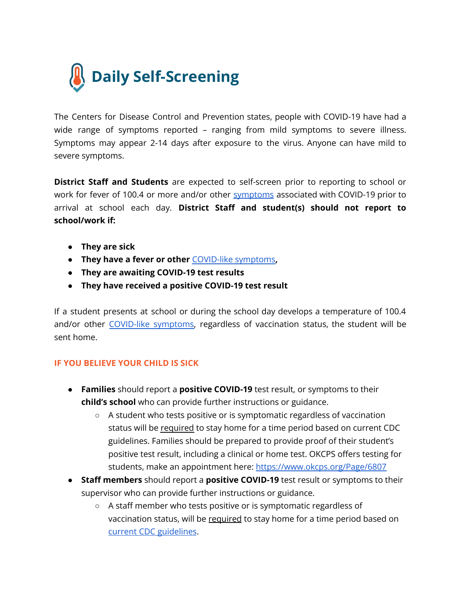

The Centers for Disease Control and Prevention states, people with COVID-19 have had a wide range of symptoms reported – ranging from mild symptoms to severe illness. Symptoms may appear 2-14 days after exposure to the virus. Anyone can have mild to severe symptoms.

**District Staff and Students** are expected to self-screen prior to reporting to school or work for fever of 100.4 or more and/or other [symptoms](https://www.cdc.gov/coronavirus/2019-ncov/symptoms-testing/symptoms.html) associated with COVID-19 prior to arrival at school each day. **District Staff and student(s) should not report to school/work if:**

- **They are sick**
- **They have a fever or other** [COVID-like](https://www.cdc.gov/coronavirus/2019-ncov/symptoms-testing/symptoms.html) symptoms**,**
- **They are awaiting COVID-19 test results**
- **● They have received a positive COVID-19 test result**

If a student presents at school or during the school day develops a temperature of 100.4 and/or other [COVID-like](https://www.cdc.gov/coronavirus/2019-ncov/symptoms-testing/symptoms.html) symptoms, regardless of vaccination status, the student will be sent home.

#### **IF YOU BELIEVE YOUR CHILD IS SICK**

- **Families** should report a **positive COVID-19** test result, or symptoms to their **child's school** who can provide further instructions or guidance.
	- A student who tests positive or is symptomatic regardless of vaccination status will be required to stay home for a time period based on current CDC guidelines. Families should be prepared to provide proof of their student's positive test result, including a clinical or home test. OKCPS offers testing for students, make an appointment here: <https://www.okcps.org/Page/6807>
- **Staff members** should report a **positive COVID-19** test result or symptoms to their supervisor who can provide further instructions or guidance.
	- A staff member who tests positive or is symptomatic regardless of vaccination status, will be required to stay home for a time period based on current CDC [guidelines](https://www.cdc.gov/coronavirus/2019-ncov/your-health/quarantine-isolation.html).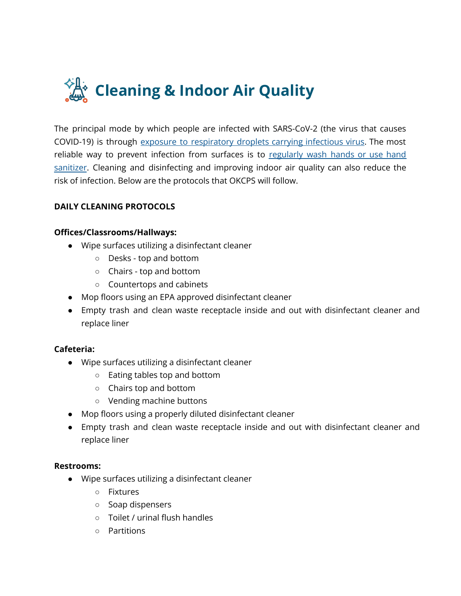

The principal mode by which people are infected with SARS-CoV-2 (the virus that causes COVID-19) is through exposure to [respiratory](https://www.cdc.gov/coronavirus/2019-ncov/more/scientific-brief-sars-cov-2.html) droplets carrying infectious virus. The most reliable way to prevent infection from surfaces is to [regularly](https://www.cdc.gov/handwashing/when-how-handwashing.html) wash hands or use hand [sanitizer](https://www.cdc.gov/handwashing/when-how-handwashing.html). Cleaning and disinfecting and improving indoor air quality can also reduce the risk of infection. Below are the protocols that OKCPS will follow.

#### **DAILY CLEANING PROTOCOLS**

#### **Offices/Classrooms/Hallways:**

- Wipe surfaces utilizing a disinfectant cleaner
	- Desks top and bottom
	- Chairs top and bottom
	- Countertops and cabinets
- Mop floors using an EPA approved disinfectant cleaner
- Empty trash and clean waste receptacle inside and out with disinfectant cleaner and replace liner

#### **Cafeteria:**

- Wipe surfaces utilizing a disinfectant cleaner
	- Eating tables top and bottom
	- Chairs top and bottom
	- Vending machine buttons
- Mop floors using a properly diluted disinfectant cleaner
- Empty trash and clean waste receptacle inside and out with disinfectant cleaner and replace liner

#### **Restrooms:**

- Wipe surfaces utilizing a disinfectant cleaner
	- Fixtures
	- Soap dispensers
	- Toilet / urinal flush handles
	- Partitions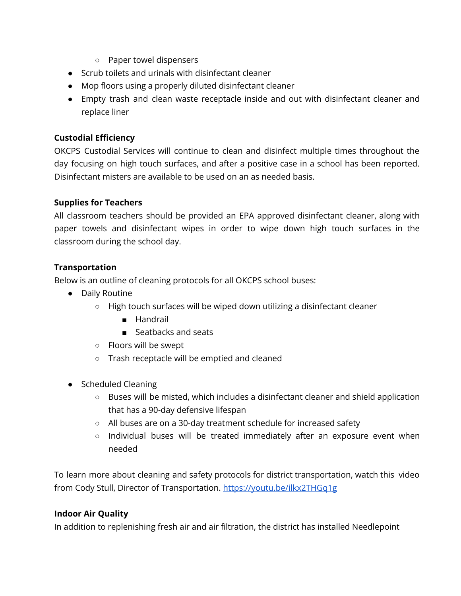- Paper towel dispensers
- Scrub toilets and urinals with disinfectant cleaner
- Mop floors using a properly diluted disinfectant cleaner
- Empty trash and clean waste receptacle inside and out with disinfectant cleaner and replace liner

#### **Custodial Efficiency**

OKCPS Custodial Services will continue to clean and disinfect multiple times throughout the day focusing on high touch surfaces, and after a positive case in a school has been reported. Disinfectant misters are available to be used on an as needed basis.

#### **Supplies for Teachers**

All classroom teachers should be provided an EPA approved disinfectant cleaner, along with paper towels and disinfectant wipes in order to wipe down high touch surfaces in the classroom during the school day.

#### **Transportation**

Below is an outline of cleaning protocols for all OKCPS school buses:

- Daily Routine
	- $\circ$  High touch surfaces will be wiped down utilizing a disinfectant cleaner
		- Handrail
		- Seatbacks and seats
	- Floors will be swept
	- Trash receptacle will be emptied and cleaned
- Scheduled Cleaning
	- Buses will be misted, which includes a disinfectant cleaner and shield application that has a 90-day defensive lifespan
	- All buses are on a 30-day treatment schedule for increased safety
	- Individual buses will be treated immediately after an exposure event when needed

To learn more about cleaning and safety protocols for district transportation, watch this video from Cody Stull, Director of Transportation. <https://youtu.be/ilkx2THGq1g>

#### **Indoor Air Quality**

In addition to replenishing fresh air and air filtration, the district has installed Needlepoint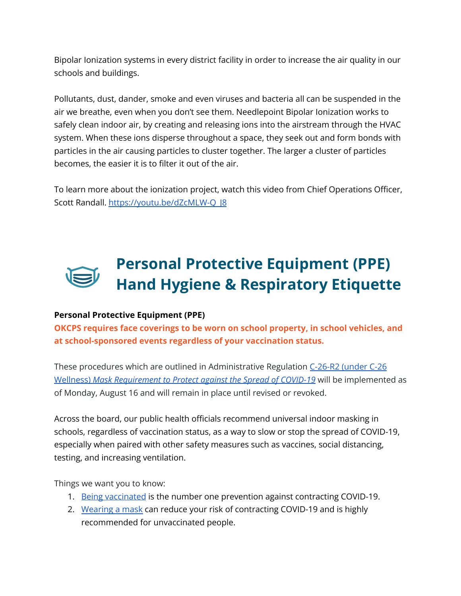Bipolar Ionization systems in every district facility in order to increase the air quality in our schools and buildings.

Pollutants, dust, dander, smoke and even viruses and bacteria all can be suspended in the air we breathe, even when you don't see them. Needlepoint Bipolar Ionization works to safely clean indoor air, by creating and releasing ions into the airstream through the HVAC system. When these ions disperse throughout a space, they seek out and form bonds with particles in the air causing particles to cluster together. The larger a cluster of particles becomes, the easier it is to filter it out of the air.

To learn more about the ionization project, watch this video from Chief Operations Officer, Scott Randall. [https://youtu.be/dZcMLW-Q\\_J8](https://youtu.be/dZcMLW-Q_J8)

# **Personal Protective Equipment (PPE) Hand Hygiene & Respiratory Etiquette**

#### **Personal Protective Equipment (PPE)**

**OKCPS requires face coverings to be worn on school property, in school vehicles, and at school-sponsored events regardless of your vaccination status.**

These procedures which are outlined in Administrative Regulation [C-26-R2](https://www.okcps.org/cms/lib/OK01913268/Centricity/Domain/1574/CLEAN%20C-26-R2%20Mask%20Requirement%20to%20Protect%20against%20the%20Spread%20of%20COVID-19.pdf) (under C-26 Wellness) *Mask [Requirement](https://www.okcps.org/cms/lib/OK01913268/Centricity/Domain/1574/CLEAN%20C-26-R2%20Mask%20Requirement%20to%20Protect%20against%20the%20Spread%20of%20COVID-19.pdf) to Protect against the Spread of COVID-19* will be implemented as of Monday, August 16 and will remain in place until revised or revoked.

Across the board, our public health officials recommend universal indoor [masking](https://www.cdc.gov/coronavirus/2019-ncov/community/schools-childcare/k-12-guidance.html) in [schools](https://www.cdc.gov/coronavirus/2019-ncov/community/schools-childcare/k-12-guidance.html), regardless of vaccination status, as a way to slow or stop the spread of COVID-19, especially when paired with other safety measures such as vaccines, social distancing, testing, and increasing ventilation.

Things we want you to know:

- 1. Being [vaccinated](https://www.cdc.gov/coronavirus/2019-ncov/science/science-briefs/fully-vaccinated-people.html) is the number one prevention against contracting COVID-19.
- 2. [Wearing](https://www.cdc.gov/coronavirus/2019-ncov/science/science-briefs/masking-science-sars-cov2.html?CDC_AA_refVal=https%3A%2F%2Fwww.cdc.gov%2Fcoronavirus%2F2019-ncov%2Fmore%2Fmasking-science-sars-cov2.html#anchor_1619456988446) a mask can reduce your risk of contracting COVID-19 and is highly recommended for unvaccinated people.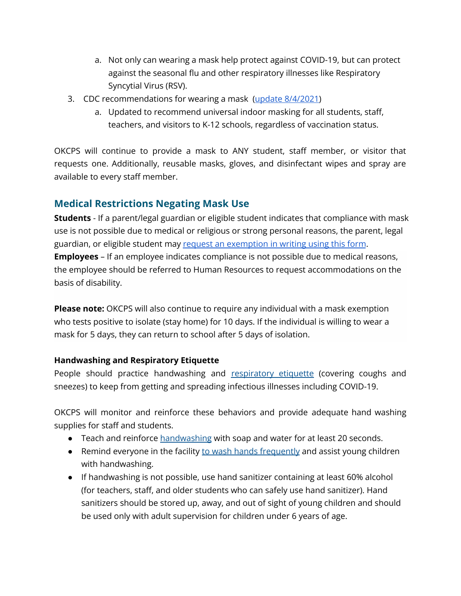- a. Not only can wearing a mask help protect against COVID-19, but can protect against the seasonal flu and other respiratory illnesses like Respiratory Syncytial Virus (RSV).
- 3. CDC recommendations for wearing a mask (update [8/4/2021\)](https://www.cdc.gov/coronavirus/2019-ncov/community/schools-childcare/k-12-guidance.html)
	- a. Updated to recommend universal indoor masking for all students, staff, teachers, and visitors to K-12 schools, regardless of vaccination status.

OKCPS will continue to provide a mask to ANY student, staff member, or visitor that requests one. Additionally, reusable masks, gloves, and disinfectant wipes and spray are available to every staff member.

#### **Medical Restrictions Negating Mask Use**

**Students** - If a parent/legal guardian or eligible student indicates that compliance with mask use is not possible due to medical or religious or strong personal reasons, the parent, legal guardian, or eligible student may request an [exemption](https://www.okcps.org/cms/lib/OK01913268/Centricity/Domain/1574/Student%20Mask%20Opt-Out%20Form%20English%20_%20Spanish_Fillable.pdf) in writing using this form. **Employees** – If an employee indicates compliance is not possible due to medical reasons, the employee should be referred to Human Resources to request accommodations on the basis of disability.

**Please note:** OKCPS will also continue to require any individual with a mask exemption who tests positive to isolate (stay home) for 10 days. If the individual is willing to wear a mask for 5 days, they can return to school after 5 days of isolation.

#### **Handwashing and Respiratory Etiquette**

People should practice handwashing and [respiratory](https://www.cdc.gov/healthywater/hygiene/etiquette/coughing_sneezing.html) etiquette (covering coughs and sneezes) to keep from getting and spreading infectious illnesses including COVID-19.

OKCPS will monitor and reinforce these behaviors and provide adequate hand washing supplies for staff and students.

- Teach and reinforce [handwashing](https://www.cdc.gov/handwashing/when-how-handwashing.html) with soap and water for at least 20 seconds.
- Remind everyone in the facility to wash hands [frequently](https://www.cdc.gov/handwashing/when-how-handwashing.html) and assist young children with handwashing.
- If handwashing is not possible, use hand sanitizer containing at least 60% alcohol (for teachers, staff, and older students who can safely use hand sanitizer). Hand sanitizers should be stored up, away, and out of sight of young children and should be used only with adult supervision for children under 6 years of age.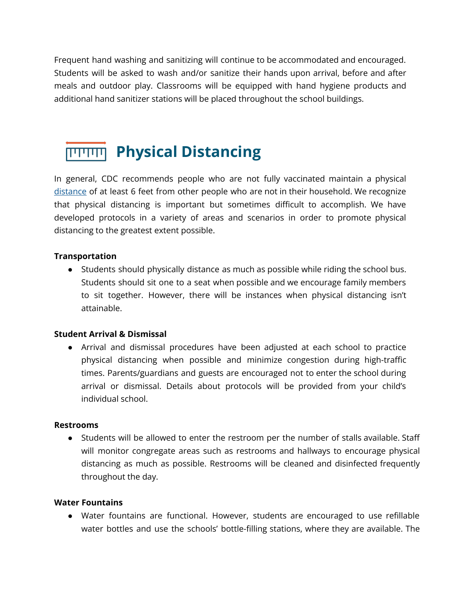Frequent hand washing and sanitizing will continue to be accommodated and encouraged. Students will be asked to wash and/or sanitize their hands upon arrival, before and after meals and outdoor play. Classrooms will be equipped with hand hygiene products and additional hand sanitizer stations will be placed throughout the school buildings.

# **Physical Distancing**

In general, CDC recommends people who are not fully vaccinated maintain a physical [distance](https://www.cdc.gov/coronavirus/2019-ncov/prevent-getting-sick/social-distancing.html) of at least 6 feet from other people who are not in their household. We recognize that physical distancing is important but sometimes difficult to accomplish. We have developed protocols in a variety of areas and scenarios in order to promote physical distancing to the greatest extent possible.

#### **Transportation**

● Students should physically distance as much as possible while riding the school bus. Students should sit one to a seat when possible and we encourage family members to sit together. However, there will be instances when physical distancing isn't attainable.

#### **Student Arrival & Dismissal**

● Arrival and dismissal procedures have been adjusted at each school to practice physical distancing when possible and minimize congestion during high-traffic times. Parents/guardians and guests are encouraged not to enter the school during arrival or dismissal. Details about protocols will be provided from your child's individual school.

#### **Restrooms**

● Students will be allowed to enter the restroom per the number of stalls available. Staff will monitor congregate areas such as restrooms and hallways to encourage physical distancing as much as possible. Restrooms will be cleaned and disinfected frequently throughout the day.

#### **Water Fountains**

● Water fountains are functional. However, students are encouraged to use refillable water bottles and use the schools' bottle-filling stations, where they are available. The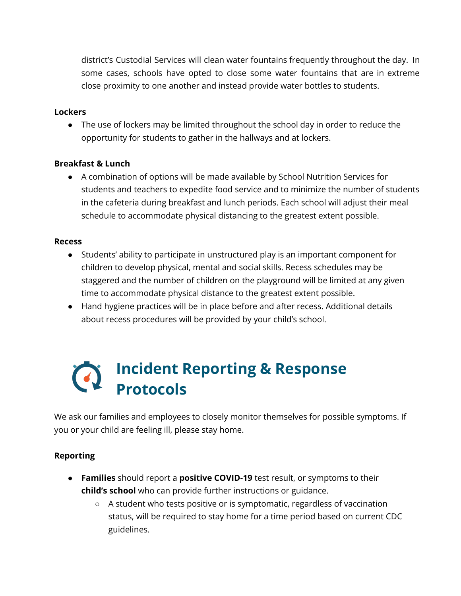district's Custodial Services will clean water fountains frequently throughout the day. In some cases, schools have opted to close some water fountains that are in extreme close proximity to one another and instead provide water bottles to students.

#### **Lockers**

• The use of lockers may be limited throughout the school day in order to reduce the opportunity for students to gather in the hallways and at lockers.

#### **Breakfast & Lunch**

● A combination of options will be made available by School Nutrition Services for students and teachers to expedite food service and to minimize the number of students in the cafeteria during breakfast and lunch periods. Each school will adjust their meal schedule to accommodate physical distancing to the greatest extent possible.

#### **Recess**

- Students' ability to participate in unstructured play is an important component for children to develop physical, mental and social skills. Recess schedules may be staggered and the number of children on the playground will be limited at any given time to accommodate physical distance to the greatest extent possible.
- Hand hygiene practices will be in place before and after recess. Additional details about recess procedures will be provided by your child's school.

# **Incident Reporting & Response Protocols**

We ask our families and employees to closely monitor themselves for possible symptoms. If you or your child are feeling ill, please stay home.

#### **Reporting**

- **Families** should report a **positive COVID-19** test result, or symptoms to their **child's school** who can provide further instructions or guidance.
	- A student who tests positive or is symptomatic, regardless of vaccination status, will be required to stay home for a time period based on current CDC guidelines.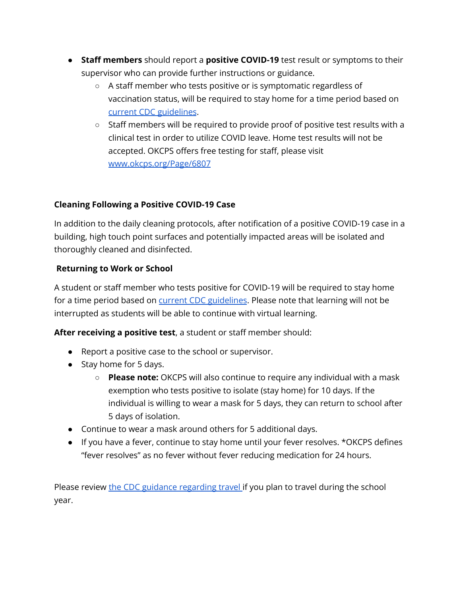- **Staff members** should report a **positive COVID-19** test result or symptoms to their supervisor who can provide further instructions or guidance.
	- A staff member who tests positive or is symptomatic regardless of vaccination status, will be required to stay home for a time period based on current CDC [guidelines](https://www.cdc.gov/coronavirus/2019-ncov/your-health/quarantine-isolation.html).
	- $\circ$  Staff members will be required to provide proof of positive test results with a clinical test in order to utilize COVID leave. Home test results will not be accepted. OKCPS offers free testing for staff, please visit [www.okcps.org/Page/6807](https://www.okcps.org/Page/6807)

#### **Cleaning Following a Positive COVID-19 Case**

In addition to the daily cleaning protocols, after notification of a positive COVID-19 case in a building, high touch point surfaces and potentially impacted areas will be isolated and thoroughly cleaned and disinfected.

#### **Returning to Work or School**

A student or staff member who tests positive for COVID-19 will be required to stay home for a time period based on current CDC [guidelines](https://www.cdc.gov/coronavirus/2019-ncov/your-health/quarantine-isolation.html). Please note that learning will not be interrupted as students will be able to continue with virtual learning.

**After receiving a positive test**, a student or staff member should:

- Report a positive case to the school or supervisor.
- Stay home for 5 days.
	- **Please note:** OKCPS will also continue to require any individual with a mask exemption who tests positive to isolate (stay home) for 10 days. If the individual is willing to wear a mask for 5 days, they can return to school after 5 days of isolation.
- Continue to wear a mask around others for 5 additional days.
- If you have a fever, continue to stay home until your fever resolves. \*OKCPS defines "fever resolves" as no fever without fever reducing medication for 24 hours.

Please review the CDC guidance [regarding](https://www.cdc.gov/coronavirus/2019-ncov/travelers/international-travel-during-covid19.html) travel if you plan to travel during the school year.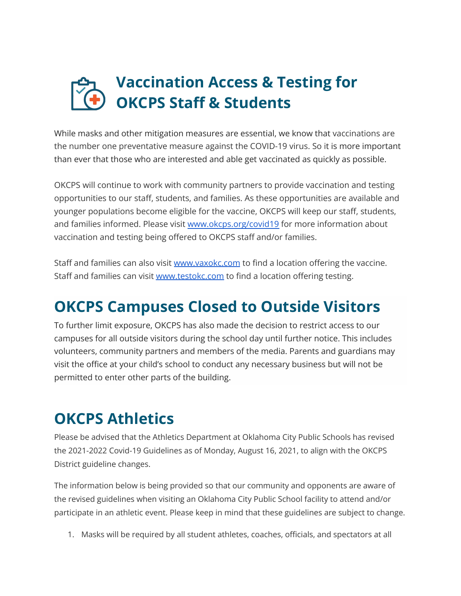# **Vaccination Access & Testing for OKCPS Staff & Students**

While masks and other mitigation measures are essential, we know that vaccinations are the number one preventative measure against the COVID-19 virus. So it is more important than ever that those who are interested and able get vaccinated as quickly as possible.

OKCPS will continue to work with community partners to provide vaccination and testing opportunities to our staff, students, and families. As these opportunities are available and younger populations become eligible for the vaccine, OKCPS will keep our staff, students, and families informed. Please visit [www.okcps.org/covid19](http://www.okcps.org/covid19) for more information about vaccination and testing being offered to OKCPS staff and/or families.

Staff and families can also visit [www.vaxokc.com](http://www.vaxokc.com) to find a location offering the vaccine. Staff and families can visit [www.testokc.com](http://www.testokc.com) to find a location offering testing.

# **OKCPS Campuses Closed to Outside Visitors**

To further limit exposure, OKCPS has also made the decision to restrict access to our campuses for all outside visitors during the school day until further notice. This includes volunteers, community partners and members of the media. Parents and guardians may visit the office at your child's school to conduct any necessary business but will not be permitted to enter other parts of the building.

# **OKCPS Athletics**

Please be advised that the Athletics Department at Oklahoma City Public Schools has revised the 2021-2022 Covid-19 Guidelines as of Monday, August 16, 2021, to align with the OKCPS District guideline changes.

The information below is being provided so that our community and opponents are aware of the revised guidelines when visiting an Oklahoma City Public School facility to attend and/or participate in an athletic event. Please keep in mind that these guidelines are subject to change.

1. Masks will be required by all student athletes, coaches, officials, and spectators at all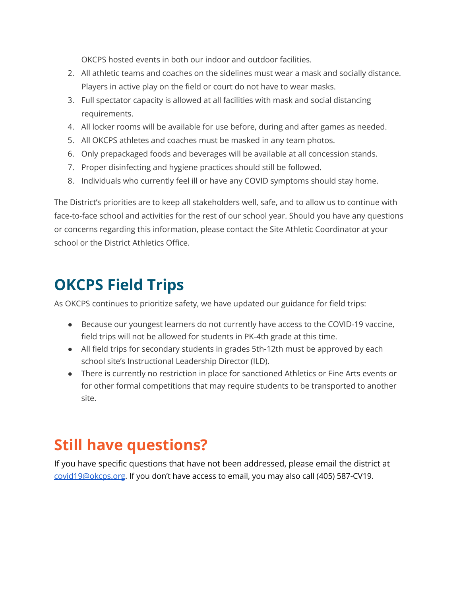OKCPS hosted events in both our indoor and outdoor facilities.

- 2. All athletic teams and coaches on the sidelines must wear a mask and socially distance. Players in active play on the field or court do not have to wear masks.
- 3. Full spectator capacity is allowed at all facilities with mask and social distancing requirements.
- 4. All locker rooms will be available for use before, during and after games as needed.
- 5. All OKCPS athletes and coaches must be masked in any team photos.
- 6. Only prepackaged foods and beverages will be available at all concession stands.
- 7. Proper disinfecting and hygiene practices should still be followed.
- 8. Individuals who currently feel ill or have any COVID symptoms should stay home.

The District's priorities are to keep all stakeholders well, safe, and to allow us to continue with face-to-face school and activities for the rest of our school year. Should you have any questions or concerns regarding this information, please contact the Site Athletic Coordinator at your school or the District Athletics Office.

### **OKCPS Field Trips**

As OKCPS continues to prioritize safety, we have updated our guidance for field trips:

- Because our youngest learners do not currently have access to the COVID-19 vaccine, field trips will not be allowed for students in PK-4th grade at this time.
- All field trips for secondary students in grades 5th-12th must be approved by each school site's Instructional Leadership Director (ILD).
- There is currently no restriction in place for sanctioned Athletics or Fine Arts events or for other formal competitions that may require students to be transported to another site.

# **Still have questions?**

If you have specific questions that have not been addressed, please email the district at [covid19@okcps.org](mailto:covid19@okcps.org). If you don't have access to email, you may also call (405) 587-CV19.